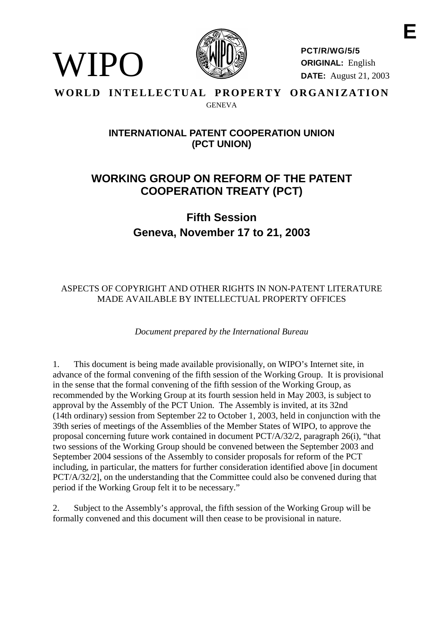

**PCT/R/WG/5/5 ORIGINAL:** English **DATE:** August 21, 2003

#### **WORLD INTELLECTUAL PROPERTY ORGANIZATION** GENEVA

WIPO

# **INTERNATIONALPATENT COOPERATIONUNION (PCT UNION)**

# **WORKING GROUP ON REF ORM OF THE PATENT COOPERATION TREATY ( PCT)**

# **Fifth Session Geneva, No vember 17 to 21, 2003**

# ASPECTS OF COPYRIGHT AND OTHER RIGHTS IN NON-PATENT LITERATURE MADE AVAILABLE BY IN TELLECTUAL PROPERTY OFFICES

# *Document prepared by the International Bureau*

1. This document is being made available provisionally, on WIPO' sInternet site, in advance of the formal convening of the fifth session of the Working Group. It is provisional in the sense that the formal convening of the fifth session of the Working Group, as recommended by the Working Group at its fourth session he ldin May 2003, is subject to approval by the Assembly of the PCT Union. The Assembly is invited, at its 32nd (14th ordinary) session from September 22 to October 1, 2003, held in conjunction with the 39th series of meetings of the Assemblies of the Membe r States of WIPO, to approve the proposal concerning future work contained indocument  $PCT/A/32/2$ , paragraph  $26(i)$ , "that two sessions of the Working Group should be convened between the September 2003 and September 2004 sessions of the Assembly to conside r proposals for reform of the PCT including, in particular, the matters for further consideration identified above [indocument PCT/A/32/2], on the understanding that the Committee could also be convened during that periodif the Working Group feltit to b enecessary."

2. Subject to the Assembly's approval, the fifth session of the Working Group will be formally convened and this document will then cease to be provisional innature.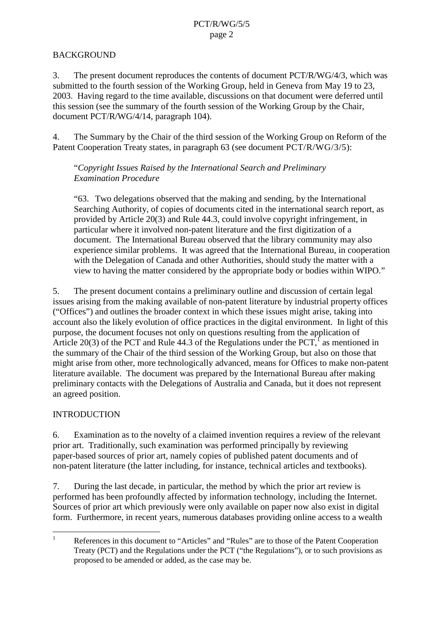# **BACKGROUND**

3. The present document reproduces the contents of document PCT/R/WG/4/3, which was submitted to the fourth session of the Working Group, held in Geneva from May 19 to 23, 2003. Having regard to the time available, discussions on that document were deferred until this session (see the summ ary of the fourth session of the Working Group by the Chair, document PCT/R/WG/4/14, paragraph 104).

4. The Summary by the Chair of the third session of the Working Group on Reform of the Patent Cooperation Treaty states, in paragraph 63 (see document PCT/R/WG/3/5):

"*Copyright Issues Raised by the International Search and Preliminary Examination Procedure*

"63. Two delegations observed that the making and sending, by the International Searching Authority, of copies of documents cited in the international search report, as provided by Article 20(3) and Rule 44.3, could involve copyright infringement, in particular where it involved non -patent literature and the first digitization of a document. The International Bureau observed that the libra ry community may also experience similar problems. It was a greed that the International Bureau, in cooperation with the Delegation of Canada and other Authorities, should study the matter with a viewto having the matter considered by the appropriate body or bodies within WIPO."

5. The present document contains a preliminary outline and discussion of certain legal issues arising from the making available of non -patent literature by industrial property offices ("Offices") and outlines the broa der context in which these issues might arise, taking into accountalso the likely evolution of office practices in the digital environment. In light of this purpose, the document focuses not only on questions resulting from the application of Article 20(3) of the PCT and Rule 44.3 of the Regulations under the PCT.  $1<sup>1</sup>$ asmentionedin the summary of the Chair of the third session of the Working Group, but also on those that might arise from other, more technologically advanced, means for Offices to make non -patent literature available. The document was prepared by the International Bureau after making preliminary contacts with the Delegations of Australia and Canada, but it does not represent an agreed position.

## INTRODUCTION

6. Examination ast other novelty of a claimed invention requires a review of the relevant prior art. Traditionally, such examination was performed principally by reviewing paper-based sources of prior art, namely copies of published patent documents and of non-patent litera ture (the latter including, for instance, technical articles and textbooks).

7. During the last decade, in particular, the method by which the prior art review is performed has been profoundly affected by information technology, including the In ternet. Sources of prior art which previously were only available on paper now also exist in digital form. Furthermore, in recent years, numerous databases providing online access to a wealth

<sup>&</sup>lt;sup>1</sup> References in this document to "Articles" and "Rules" are to those of the Patent Cooperation Treaty (PCT) and the Regulations under the PCT ("the Regulations"), or to such provisions as proposed to be amended or added, as the case may be.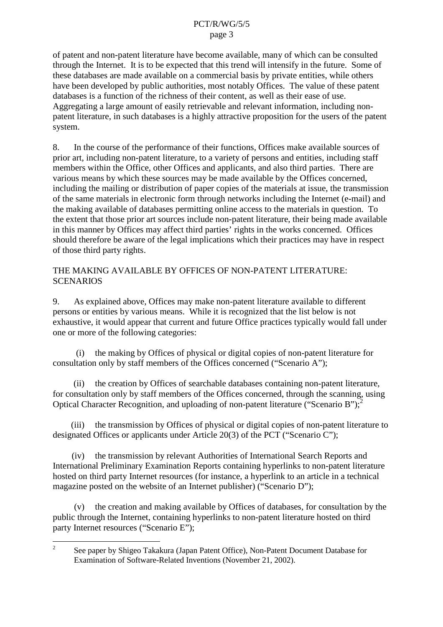of patent and non-patent literature have become available, man y of which can be consulted through the Internet. It is to be expected that this trend will intensify in the future. Some of thesedatabases are made available on a commercial basis by private entities, while others have been developed by public authorit ies, most notably Offices. The value of the sepatent databasesisa function of the richness of their content, as well as their ease of use. Aggregating a large amount of easily retrievable and relevant information, including non patent literature, insu chdatabases is a highly attractive proposition for the users of the patent system.

8. In the course of the performance of their functions, Offices make available sources of priorart, including non -patent literature, to avariety of persons and entities, including staff members within the Office, other Offices and applicants, and also third parties. There are various means by which these sources may be made available by the Offices concerned, including the mailing or distribution of paper copie softhem aterials at issue, the transmission of the same materials inelectronic form through networks including the Internet (e -mail) and the making available of databases permitting online access to the material singuestion. To the extent that those p riorart sources include non -patent literature, their being made available in this manner by Offices may affect third parties' rights in the works concerned. Offices should therefore be aware of the legal implications which their practices may have inres pect of those third partyrights.

THE MAKING AVAIL ABLE BY OFFICE SOFNON - PATENT LITERATURE: **SCENARIOS** 

9. As explained above, Offices may make non -patent literature available to different persons or entities by various means. While it is re cognized that the list below is not exhaustive, it would appear that current and future Office practices typically would fall under one or more of the following categories:

(i) the making by Offices of physical or digital copies of nonconsultation only by staff members of the Offices concerned ("Scenario A");

(ii) the creation by Offices of searchable databases containing non -patent literature, for consultation only by staff members of the Offices concerned, through the scanning, using Optical Character Recognition, and uploading of non-patent literature ("Scenario B");

(iii) the transmission by Offices of physical ordigital copies of non -patent literature to designated Offices or applicant sunder Article 20(3) of the PCT ("Sce nario C");

(iv) the transmission by relevant Authorities of International Search Reports and International Preliminary Examination Reports containing hyperlinks to non -patent literature hosted on third party Internet resources (for instance, a hyperlink to an article in a technical magazine posted on the website of an Internet publisher) ("Scenario D");

(v) the creation and making available by Offices of databases, for consultation by the public through the Internet, containing hyperlinks to non-patent literature hosted on third partyInternetresources("ScenarioE");

<sup>&</sup>lt;sup>2</sup> Seepaperby Shigeo Tak akura (Japan Patent Office), Non - Patent Document Database for Examination of Software -Related Inventions (November 21, 2002).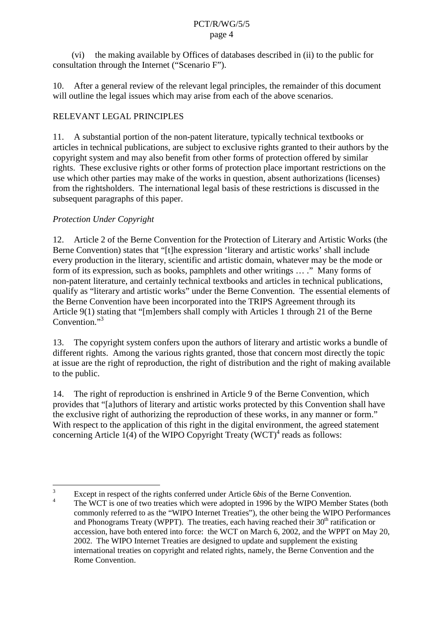(vi) the making available by Offices of databases described in (ii) to the public for consultation through the Internet ("Scenario F").

10. After a general review of the rele vant legal principles, the remainder of this document will outline the legalissues which may arise from each of the above scenarios.

# RELEVANTLEGALPRINCIPLES

11. A substantial portion of the non-patent literature, typically technical textbo oks or articles intechnical publications, are subject to exclusive rights granted to their authors by the copyright system and may also benefit from other forms of protection of fered by similar rights. These exclusive rights or other forms of protection place important restrictions on the use which other parties may make of the works in question, absent authorizations (licenses) from the rightsholders. The international legal basis of these restrictions is discussed in the subsequent paragraphs of this p aper.

# *Protection Under Copyright*

12. Article 2 of the Berne Convention for the Protection of Literary and Artistic Works (the Berne Convention) states that "[t]he expression 'literary and artistic works' shall include every production in the literary, scientificand artistic domain, whatever may be the mode or form of its expression, such as books, pamphlets and other writings...." Many forms of non-patent literature, and certainly technical textbooks and articles in technical publications, qualify as "literary and artistic works" under the Berne Convention. The essential elements of the Berne Convention have been incorporated into the TRIPS Agreement through its Article 9(1) stating that "[m]embers shall comply with Articles 1 through 21 of the Berne Convention."<sup>3</sup>

13. The copyright system confersupon the authors of literary and artistic works abundle of different rights. Among the various rights granted, those that concernmost directly the topic at issue are the right of representation, the right of distribution and the right of making available to the public.

14. The right of reproduction is enshrined in Article 9 of the Berne Convention, which provides that "[a]uthors of literary and artistic works protected by t his Convention shall have the exclusive right of authorizing the reproduction of these works, in any manner or form." With respect to the application of this right in the digital environment, the agreed statement  $concerning Article 1(4) of the WIPOCopyri$  $ghtTreaty(WCT)$ <sup>4</sup>readsasfollows:

<sup>&</sup>lt;sup>3</sup> Except in respect of the rights conferred under Article 6 *bis* of the Berne Convention. The WCT is one of two treaties which w eread opted in 1996 by the WIPO Member States (both commonly referred to as the "WIPO Internet Treaties"), the other being the WIPO Performances<br>and Phonograms Treaty (WPPT). The treaties, each having reached their 30  $\mu$  attification or and Phonograms Treaty (WPPT). The treaties, each having reached their 30 accession, have bot hentered into force: the WCT on March 6, 2002, and the WPPT on May 20, 2002. The WIPO Internet Treaties are designed to update and supplement the existing international treaties on copyright and related rights, namely, the Berne Convention and the Rome Convention.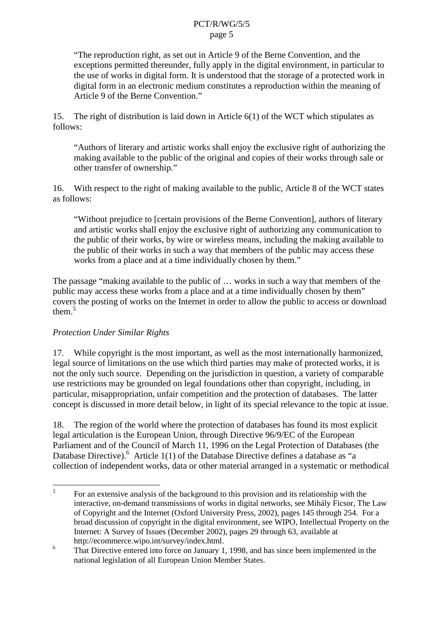"The reproduction right, as set out in Article 9 of the Berne Convention, and the exceptions permitted thereunder, fully apply in the digital environment, in particular to the use of works indigital form. It is unders to obtain the storage of a protected work in digital forminanelectronic medium constitutes are production within the meaning of Article9oftheBerneConvention."

15. The right of distribution is laid down in Article 6(1) of the WCT which stimarrow pulates as follows:

"Authors of literary and artistic works shall enjoy the exclusive right of authorizing the making available to the public of the original and copies of their works through sale or other transfer of ownership."

16. With re spect to the right of making available to the public, Article 8 of the WCT states asfollows:

"Without prejudice to [certain provisions of the Berne Convention], authors of literary and artistic works shall enjoy the exclusive right of authorizing any com munication to the public of their works, by wire or wireless means, including the making available to the public of their works in such a way that members of the public may access these works from a place and at a time individually chosen by them."

The passage "making available to the public of ... works in such a way that members of the public may access these works from a place and at a time individually chosen by them" covers the posting of works on the Internet in order to allow the public to access or d ownload them.5

## *Protection Under Similar Rights*

17. While convertight is the most important, as well as the most internationally harmonized, legal source of limitations on the use which third parties may make of protected works, it is not the only such source. Depending on the jurisdiction in question, a variety of comparable use restrictions may be grounded on legal foundations other than copyright, including, in particular, misappropriation, unfair competition and the protection of databases. The latter concept is discussed in more detail below, in light of its special relevance to the topicatissue.

18. The region of the world where the protection of databases has found its most explicit legal articulation is the European Unio n, through Directive 96/9/EC of the European Parliament and of the Council of March 11, 1996 on the Legal Protection of Databases (the DatabaseDirective). <sup>6</sup>Article1(1)oftheDatabaseDirectivedefinesadatabaseas "a collection of independent works, d ata or other material arranged in asystematic or methodical

 $5$  For an extensive analysis of the background to this provision and its relationship with the interactive, on -demand transmissions of works indigital networks, see Mihály Ficsor, The Law<br>of Copyright and the Internet (Oxford University Press, 2002), pages 145th rough 254. For a of Copyright and the Internet (Oxford University Press, broad discussion of copyright in the digital environment, see WIPO, Intellectual Property on the Internet: A Survey of Issues (December 2002), pages 29 through 63, available at http://ecommerce.wipo.int/survey/index.html.

 $\epsilon$ <sup>6</sup> That Directive entered into force on January 1, 1998, and has since been implemented in the national legislation of all European Union Member States.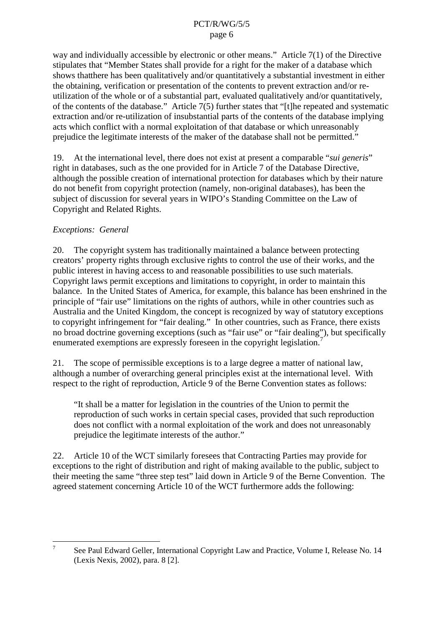way and individually accessible by electronic or other means." Article 7(1) of the Directive stipulates that "Member States shall provide for a right for the maker of a database which shows that here has been qualitatively and/or quantitatively as ubstantial investment in either the obtaining, verification or presentation of the contents to prevent extraction and/orre utilization of the whole or of a substantial part, evaluated qualitatively and d/or quantitatively, of the contents of the database." Article 7(5) further states that "[t] here peated and systematic extraction and/orre -utilization of insubstantial parts of the contents of the database implying acts which conflict with a normal exploded itation of that database or which unreasonably prejudice the legitimate interests of the maker of the databases hall not be permitted."

19. Atthe international level, there does not exist at present a comparable "*suigeneris*" right indataba ses, such as the one provided for in Article 7 of the Database Directive, although the possible creation of international protection for databases which by their nature do not benefit from copyright protection (namely, non -original databases), has been the subject of discussion for several years in WIPO's Standing Committee on the Law of Copyright and Related Rights.

## *Exceptions: General*

20. The copyrights y stem has traditionally maintained a balance between protecting creators' property rights ts through exclusive rights to control the use of their works, and the public interest in having access to and reasonable possibilities to use such materials. Copyright laws permitex ceptions and limitations to copyright, in order to maintain this balance. In the United States of America, for example, this balance has been enshrined in the principle of "fairuse" limitations on the rights of authors, while in other countries such as Australia and the United Kingdom, the concept is recognized by way of standard tutory exceptions to copyright infringement for "fair dealing." In other countries, such as France, there exists no broad doctrine governing exceptions (such as "fair use" or "fair dealing"), but specifically enumerated exemptions are expressly for esseni nthe copyright legislation.

21. The scope of permissible exceptions is to alarge degree a matter of national law, although a number of overarching general principles exist at the international level. With respect to the right of reproduct ion, Article 9 of the Berne Convention states as follows:

"Itshall be a matter for legislation in the countries of the Union to permit the reproduction of such works incertains pecial cases, provided that such reproduction does not conflict with a norma lexploitation of the work and does not unreasonably prejudice the legitimate interests of the author."

22. Article 10 of the WCT similarly fore sees that Contracting Parties may provide for exceptions to the right of distribution and right of making available to the public, subject to their meeting the same "three step test" laiddown in Article 9 of the Berne Convention. The agreed statement concerning Article 10 of the WCT furthermore adds the following:

<sup>7</sup> See Paul Edward Geller, International Copyright Law and Practice, Volume I, Release No. 14 (Lexis Nexis, 2002), para. 8 [2].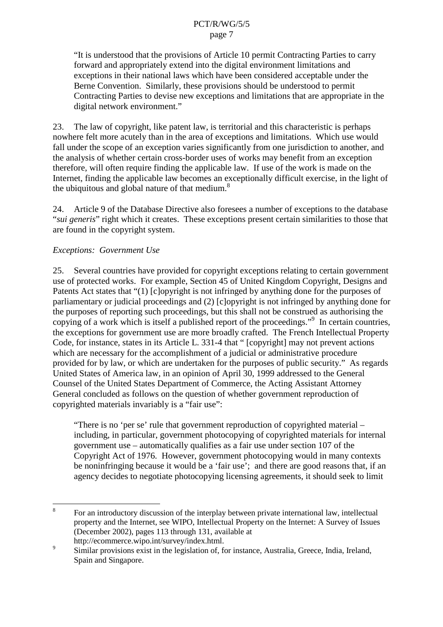"It is understood that the provisio ns of Article 10 permit Contracting Parties to carry forward and appropriately extend into the digital environment limitations and exceptions in their national laws which have been considered acceptable under the Berne Convention. Similarly, these provisi ons should be understood to permit Contracting Parties to devise new exceptions and limitations that are appropriate in the digital network environment."

23. The law of copyright, like patent law, is territorial and this characteristic is per haps nowhere felt more acutely than in the area of exceptions and limitations. Which use would fall under these ope of an exception varies significantly from one jurisdiction to another, and the analysis of whether certain cross -border uses of works may b enefit from an exception therefore, will often require finding the applicable law. If use of the work is made on the Internet, finding the applicable law becomes an exceptionally difficult exercise, in the light of  $the *ubi* quitous and global nature of that  $medium$ .$ 

24. Article 9 of the Database Directive also fore sees a number of exceptions to the database "suigeneris "right which it creates. These exceptions present certains imilarities to those that are found in the copyrights ystem.

## *Exceptions: Government Use*

25. Several countries have provided for copyright exceptions relating to certain government use of protected works. For example, Section 45 of United Kingdom Copyright, Designs and Patents Act states that "(1) [c]opyright is not infringed by anything done for the purposes of parliamentary or judicial proceedings and (2) [c] opyright is not infringed by anything done for the purposes of reporting such proceedings, but this shall not be construed as authorising the copying of a work which is itself a published report of the proceedings." <sup>9</sup>Incertain countries, the exceptions for government use are more broadly crafted. The French Intellectual Property Code, for instance, states in its Article L. 331 -4 that " [copyright] may not prevent actions which are necessary for the accomplishment of a judicial or administrative procedure provided for by law, or which are undertaken for the purposes of public security." As regards United States of America law, in an opinion of April 30, 1999 addressed to the General Counsel of the United States Department of Commerce, the Acting Assistant Attorney General concluded as follows on the question of whether government reproduction of copyrighted materials invariably is a "fairuse":

"Therei sno 'perse' rule that government reproduction of copyrighted material including, in particular, government photocopying of copyrighted materials for internal governmentuse –automatically qualifies as a fair use under section 107 of the Copyright Act of 1976. However, government photocopying would in many contexts be noninfringing because it would be a 'fair use'; and there are good reasons that, if an agency decides to negotiate photocopying licensing agreements, it should seek to limit

<sup>&</sup>lt;sup>8</sup> For an introductory discussion of the interplay between private international law, intellectual property and the Internet, see WIPO, Intellectual Property on the Internet: A Survey of Issues (December 2002), pages 113 throug h 131, available at

http://ecommerce.wipo.int/survey/index.html.

<sup>&</sup>lt;sup>9</sup><br>Similar provisions exist in the legislation of forms tance, Australia, Greece, India, Ireland, Spain and Singapore.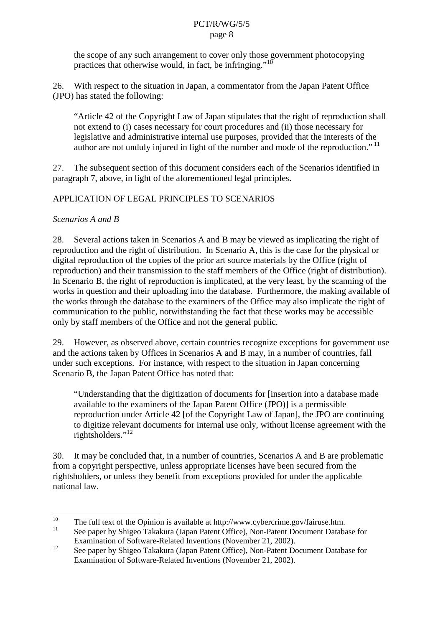the scope of any such arrangement to cover only those government photocopying practices that otherwise would, in fact, be infringing."

26. With respect to the situation in Japan, a commentator from the Japan Patent Office (JPO) has stated the following:

"Article 42 of the Copyright Law of Japan stipulates that the right of reproduction shall not extend to (i) cases necessary for court procedures and (ii) those necessary for legislative and administrative internal use purposes, provided that the interests of the author are not unduly injured in light of the number and mode of the reproduction."

27. The subsequent section of this document considers each of the Scenarios identified in paragraph 7, above, in light of the aforementioned legal principl es.

# APPLICATION OF LEGAL PRINCIPLES TO SCENARIOS

#### *Scenarios A and B*

28. Several actions taken in Scenarios A and B may be viewed as implicating the right of reproduction and the right of distribution. In Scenario A, this is the case for the phy sical or digital reproduction of the copies of the prior arts our cematerials by the Office (right of reproduction) and their transmission to the staff members of the Office (right of distribution). In Scenario B, the right of reproduction is implicated, at the very least, by the scanning of the works in question and their uploading into the database. Furthermore, the making available of the works through the database to the examiners of the Office may also implicate the right of communication to the publ ic, notwithstanding the fact that these works may be accessible onlyby staff members of the Office and not the general public.

29. However, as observed above, certain countries recognize exceptions for government use and the actions taken by Off ices in Scenarios A and B may, in a number of countries, fall under such exceptions. For instance, with respect to the situation in Japan concerning Scenario B, the Japan Patent Office has noted that:

"Understanding that the digitization of documents for [insertion into a database made available to the examiners of the Japan Patent Office (JPO) lisa permissible reproduction under Article 42 [of the Copyright Law of Japan], the JPO are continuing to digitize relevant documents for internal use only, witho utlicense agreement with the rightsholders."<sup>12</sup>

30. It may be concluded that, in a number of countries, Scenarios A and B are problematic from a copyright perspective, unless appropriate licenses have been secured from the rightsholders, or unless they benefit from exceptions provided for under the applicable nationallaw.

<sup>&</sup>lt;sup>10</sup> The full text of the Opinion is available at http://www.cybercrime. gov/fairuse.htm. Seepaper by Shigeo Takakura (Japan Patent Office), Non -Patent Document Database for Examination of Software -Related Inventions (November 21, 2002).

<sup>&</sup>lt;sup>12</sup> Seepaperby Shigeo Takakura (Japan Patent Office), Non - Patent Document Database for Examination of Software -Related Inventions (November 21, 2002).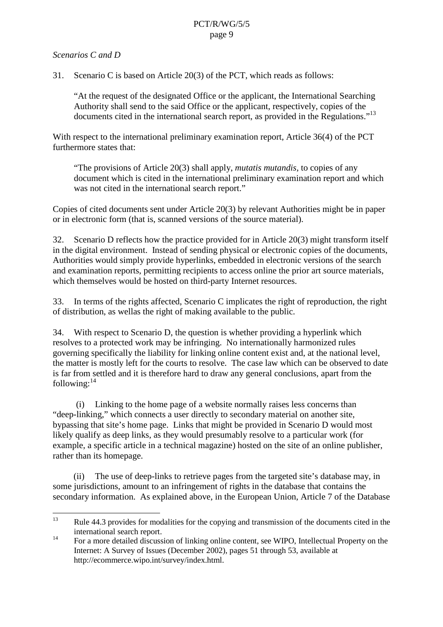#### *Scenarios C and D*

31. Scenario Cisbased on Article 20(3) of the PCT, which reads as follows:

"At the request of the designated Office or the applicant, the Internat ional Searching Authority shall send to the said Office or the applicant, respectively, copies of the documents cited in the international search report, as provided in the Regulations."

With respect to the international preliminary examination report, A rticle 36(4) of the PCT furthermorestates that:

"The provisions of Article 20(3) shall apply, *mutatis mutandis*, to copies of any document which is cited in the international preliminary examination report and which was not cited in the international sear chreport."

Copies of cited documents sent under Article 20(3) by relevant Authorities might bein paper orinelectronic form (that is, scanned versions of the source material).

32. Scenario D reflects how the practice provided for in Article 20(3) might transform itself in the digital environment. Instead of sending physical or electronic copies of the documents, Authorities would simply provide hyperlinks, embedded in electronic versions of the search and examination reports, permitting rec ipients to access online the prior arts our cematerials, which themselves would be hosted on third -party Internet resources.

33. Interms of the rights affected, Scenario Cimplicates the right of reproduction, the right of distribution, as wells the right of making available to the public.

34. With respect to Scenario D, the question is whether providing a hyperlink which resolvesto a protected work may be infringing. No internationally harmonized rules governing specifically the l iability for linking online content exist and, at the national level, the matter is mostly left for the courts to resolve. The case law which can be observed to date is far from settled and it is therefore hard to draw any general conclusions, apart from the following: $^{14}$ 

(i) Linking to the home page of a website normally raises less concerns than "deep-linking," which connects a user directly to secondary material on another site, bypassing that site's home page. Links that might be provided in Scenario Dwould most likely qualify as deep links, as they would presumably resolve to a particular work (for example, a specific article in a technical magazine) hosted on the site of an online publisher, rather than its homepage.

(ii) The use of deep -links to retrieve pages from the targeted site's database may, in some jurisdictions, amount to an infringement of rights in the database that contains the secondary information. As explained above, in the European Union, Article 7 of the Database

<sup>&</sup>lt;sup>13</sup> Rule 44.3 provides for modalities for the copying and transmission of the documents cited in the international search report.

<sup>14</sup> For a more detailed discussion of linking online content, such that the cultural Property on the Internet: A Survey of Issues (December 2002), pages 51 through 53, available at http://ecommerce.wipo.int/survey/index.html.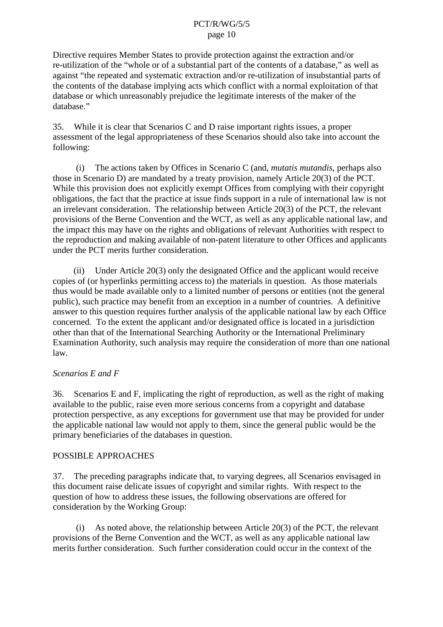Directive requir es Member States to provide protection against the extraction and/or re-utilization of the "whole or of a substantial part of the contents of a database," as well as against "the repeated and systematic extraction and/orre -utilization of insubstantial par ts of the contents of the database implying acts which conflict with a normal exploitation of that database or which unreasonably prejudice the legitimate interests of the maker of the database."

35. While it is clear that Scenarios Cand Draise important rights issues, a proper assessment of the legal appropriateness of these Scenarios should also take into account the following:

(i) The actions taken by Offices in Scenario C (and, *mutatis mutandis* , perhaps also those in Scenario D) are mandat ed by a treaty provision, namely Article 20(3) of the PCT. While this provision does not explicitly exempt Offices from complying with their copyright obligations, the fact that the practice at issue finds support in a rule of international law is not an irrelevant consideration. The relationship between Article 20(3) of the PCT, the relevant provisions of the Berne Convention and the WCT, as well as any applicable national law, and the impact this may have on the rights and obligations of relevant Autho rities with respect to the reproduction and making available of non-patent literature to other Offices and applicants under the PCT merits further consideration.

(ii) Under Article 20(3) only the designated Office and the applicant would receive copies of (or hyperlinks permitting access to) the materials inquestion. As those materials thus would be made available only to a limited number of persons or entities (not the general public), such practice may benefit from an exception in a number of countrie s. A definitive answer to this question requires further analysis of the applicable national law by each Office concerned. To the extent the applicant and/ordesignated office is located in a jurisdiction other than that of the International Searching Au thority or the International Preliminary Examination Authority, such analysis may require the consideration of more than one national law.

## *Scenarios E and F*

36. Scenarios Eand F, implicating the right of reproduction, as well as the right of ma available to the public, raise even more serious concerns from a copyright and database protection perspective, as any exceptions for government use that may be provided for under the applicable national law would not apply to them, since the general public would be the primary beneficiaries of the databases in question.

## POSSIBLE APPROACHES

37. The preceding paragraphs indicate that, to varying degrees, all Scenarios envisaged in this document raised elicate issues of copyright and similar r ights. With respect to the question of how to address these issues, the following observations are offered for consideration by the Working Group:

(i) As noted above, the relationship between Article 20(3) of the PCT, the relevant provisions of the Bern e Convention and the WCT, as well as any applicable national law merits further consideration. Such further consideration could occur in the context of the